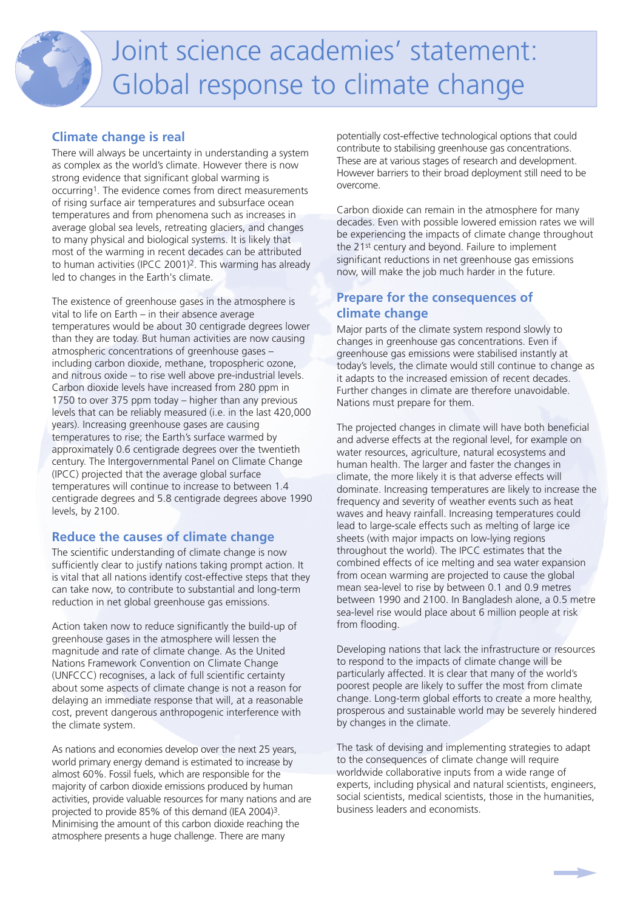# **Climate change is real**

There will always be uncertainty in understanding a system as complex as the world's climate. However there is now strong evidence that significant global warming is occurring1. The evidence comes from direct measurements of rising surface air temperatures and subsurface ocean temperatures and from phenomena such as increases in average global sea levels, retreating glaciers, and changes to many physical and biological systems. It is likely that most of the warming in recent decades can be attributed to human activities (IPCC 2001)2. This warming has already led to changes in the Earth's climate.

The existence of greenhouse gases in the atmosphere is vital to life on Earth – in their absence average temperatures would be about 30 centigrade degrees lower than they are today. But human activities are now causing atmospheric concentrations of greenhouse gases – including carbon dioxide, methane, tropospheric ozone, and nitrous oxide – to rise well above pre-industrial levels. Carbon dioxide levels have increased from 280 ppm in 1750 to over 375 ppm today – higher than any previous levels that can be reliably measured (i.e. in the last 420,000 years). Increasing greenhouse gases are causing temperatures to rise; the Earth's surface warmed by approximately 0.6 centigrade degrees over the twentieth century. The Intergovernmental Panel on Climate Change (IPCC) projected that the average global surface temperatures will continue to increase to between 1.4 centigrade degrees and 5.8 centigrade degrees above 1990 levels, by 2100.

## **Reduce the causes of climate change**

The scientific understanding of climate change is now sufficiently clear to justify nations taking prompt action. It is vital that all nations identify cost-effective steps that they can take now, to contribute to substantial and long-term reduction in net global greenhouse gas emissions.

Action taken now to reduce significantly the build-up of greenhouse gases in the atmosphere will lessen the magnitude and rate of climate change. As the United Nations Framework Convention on Climate Change (UNFCCC) recognises, a lack of full scientific certainty about some aspects of climate change is not a reason for delaying an immediate response that will, at a reasonable cost, prevent dangerous anthropogenic interference with the climate system.

As nations and economies develop over the next 25 years, world primary energy demand is estimated to increase by almost 60%. Fossil fuels, which are responsible for the majority of carbon dioxide emissions produced by human activities, provide valuable resources for many nations and are projected to provide 85% of this demand (IEA 2004)3. Minimising the amount of this carbon dioxide reaching the atmosphere presents a huge challenge. There are many

potentially cost-effective technological options that could contribute to stabilising greenhouse gas concentrations. These are at various stages of research and development. However barriers to their broad deployment still need to be overcome.

Carbon dioxide can remain in the atmosphere for many decades. Even with possible lowered emission rates we will be experiencing the impacts of climate change throughout the 21st century and beyond. Failure to implement significant reductions in net greenhouse gas emissions now, will make the job much harder in the future.

## **Prepare for the consequences of climate change**

Major parts of the climate system respond slowly to changes in greenhouse gas concentrations. Even if greenhouse gas emissions were stabilised instantly at today's levels, the climate would still continue to change as it adapts to the increased emission of recent decades. Further changes in climate are therefore unavoidable. Nations must prepare for them.

The projected changes in climate will have both beneficial and adverse effects at the regional level, for example on water resources, agriculture, natural ecosystems and human health. The larger and faster the changes in climate, the more likely it is that adverse effects will dominate. Increasing temperatures are likely to increase the frequency and severity of weather events such as heat waves and heavy rainfall. Increasing temperatures could lead to large-scale effects such as melting of large ice sheets (with major impacts on low-lying regions throughout the world). The IPCC estimates that the combined effects of ice melting and sea water expansion from ocean warming are projected to cause the global mean sea-level to rise by between 0.1 and 0.9 metres between 1990 and 2100. In Bangladesh alone, a 0.5 metre sea-level rise would place about 6 million people at risk from flooding.

Developing nations that lack the infrastructure or resources to respond to the impacts of climate change will be particularly affected. It is clear that many of the world's poorest people are likely to suffer the most from climate change. Long-term global efforts to create a more healthy, prosperous and sustainable world may be severely hindered by changes in the climate.

The task of devising and implementing strategies to adapt to the consequences of climate change will require worldwide collaborative inputs from a wide range of experts, including physical and natural scientists, engineers, social scientists, medical scientists, those in the humanities, business leaders and economists.